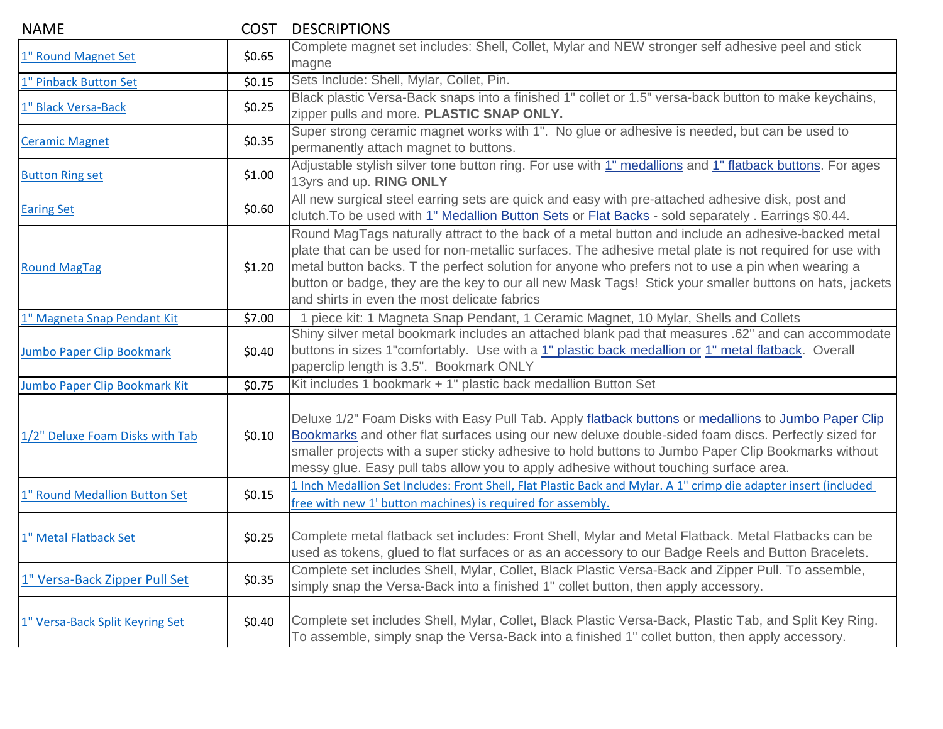| <b>NAME</b>                      | <b>COST</b> | <b>DESCRIPTIONS</b>                                                                                                                                                                                                                                                                                                                                                                                                                                                           |
|----------------------------------|-------------|-------------------------------------------------------------------------------------------------------------------------------------------------------------------------------------------------------------------------------------------------------------------------------------------------------------------------------------------------------------------------------------------------------------------------------------------------------------------------------|
| 1" Round Magnet Set              | \$0.65      | Complete magnet set includes: Shell, Collet, Mylar and NEW stronger self adhesive peel and stick<br>magne                                                                                                                                                                                                                                                                                                                                                                     |
| 1" Pinback Button Set            | \$0.15      | Sets Include: Shell, Mylar, Collet, Pin.                                                                                                                                                                                                                                                                                                                                                                                                                                      |
| 1" Black Versa-Back              | \$0.25      | Black plastic Versa-Back snaps into a finished 1" collet or 1.5" versa-back button to make keychains,<br>zipper pulls and more. PLASTIC SNAP ONLY.                                                                                                                                                                                                                                                                                                                            |
| <b>Ceramic Magnet</b>            | \$0.35      | Super strong ceramic magnet works with 1". No glue or adhesive is needed, but can be used to<br>permanently attach magnet to buttons.                                                                                                                                                                                                                                                                                                                                         |
| <b>Button Ring set</b>           | \$1.00      | Adjustable stylish silver tone button ring. For use with 1" medallions and 1" flatback buttons. For ages<br>13yrs and up. RING ONLY                                                                                                                                                                                                                                                                                                                                           |
| <b>Earing Set</b>                | \$0.60      | All new surgical steel earring sets are quick and easy with pre-attached adhesive disk, post and<br>clutch. To be used with 1" Medallion Button Sets or Flat Backs - sold separately. Earrings \$0.44.                                                                                                                                                                                                                                                                        |
| <b>Round MagTag</b>              | \$1.20      | Round MagTags naturally attract to the back of a metal button and include an adhesive-backed metal<br>plate that can be used for non-metallic surfaces. The adhesive metal plate is not required for use with<br>metal button backs. T the perfect solution for anyone who prefers not to use a pin when wearing a<br>button or badge, they are the key to our all new Mask Tags! Stick your smaller buttons on hats, jackets<br>and shirts in even the most delicate fabrics |
| 1" Magneta Snap Pendant Kit      | \$7.00      | 1 piece kit: 1 Magneta Snap Pendant, 1 Ceramic Magnet, 10 Mylar, Shells and Collets                                                                                                                                                                                                                                                                                                                                                                                           |
| <b>Jumbo Paper Clip Bookmark</b> | \$0.40      | Shiny silver metal bookmark includes an attached blank pad that measures .62" and can accommodate<br>buttons in sizes 1"comfortably. Use with a 1" plastic back medallion or 1" metal flatback. Overall<br>paperclip length is 3.5". Bookmark ONLY                                                                                                                                                                                                                            |
| Jumbo Paper Clip Bookmark Kit    | \$0.75      | Kit includes 1 bookmark + 1" plastic back medallion Button Set                                                                                                                                                                                                                                                                                                                                                                                                                |
| 1/2" Deluxe Foam Disks with Tab  | \$0.10      | Deluxe 1/2" Foam Disks with Easy Pull Tab. Apply flatback buttons or medallions to Jumbo Paper Clip<br>Bookmarks and other flat surfaces using our new deluxe double-sided foam discs. Perfectly sized for<br>smaller projects with a super sticky adhesive to hold buttons to Jumbo Paper Clip Bookmarks without<br>messy glue. Easy pull tabs allow you to apply adhesive without touching surface area.                                                                    |
| 1" Round Medallion Button Set    | \$0.15      | 1 Inch Medallion Set Includes: Front Shell, Flat Plastic Back and Mylar. A 1" crimp die adapter insert (included<br>free with new 1' button machines) is required for assembly.                                                                                                                                                                                                                                                                                               |
| 1" Metal Flatback Set            | \$0.25      | Complete metal flatback set includes: Front Shell, Mylar and Metal Flatback. Metal Flatbacks can be<br>used as tokens, glued to flat surfaces or as an accessory to our Badge Reels and Button Bracelets.                                                                                                                                                                                                                                                                     |
| 1" Versa-Back Zipper Pull Set    | \$0.35      | Complete set includes Shell, Mylar, Collet, Black Plastic Versa-Back and Zipper Pull. To assemble,<br>simply snap the Versa-Back into a finished 1" collet button, then apply accessory.                                                                                                                                                                                                                                                                                      |
| 1" Versa-Back Split Keyring Set  | \$0.40      | Complete set includes Shell, Mylar, Collet, Black Plastic Versa-Back, Plastic Tab, and Split Key Ring.<br>To assemble, simply snap the Versa-Back into a finished 1" collet button, then apply accessory.                                                                                                                                                                                                                                                                     |